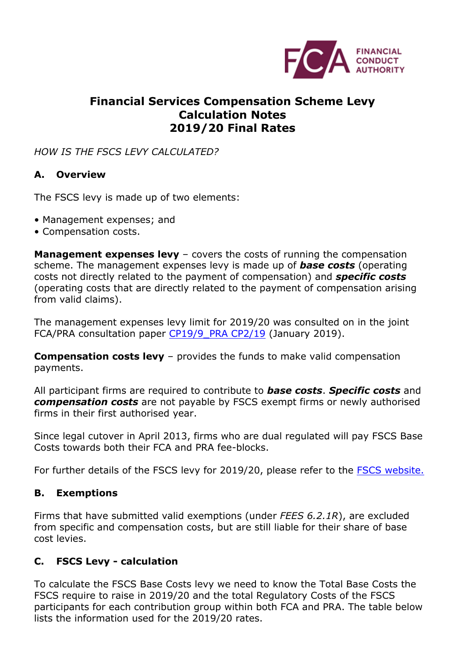

## **Financial Services Compensation Scheme Levy Calculation Notes 2019/20 Final Rates**

#### *HOW IS THE FSCS LEVY CALCULATED?*

#### **A. Overview**

The FSCS levy is made up of two elements:

- Management expenses; and
- Compensation costs.

**Management expenses levy** – covers the costs of running the compensation scheme. The management expenses levy is made up of *base costs* (operating costs not directly related to the payment of compensation) and *specific costs*  (operating costs that are directly related to the payment of compensation arising from valid claims).

The management expenses levy limit for 2019/20 was consulted on in the joint FCA/PRA consultation paper CP19/9 PRA CP2/19 (January 2019).

**Compensation costs levy** – provides the funds to make valid compensation payments.

All participant firms are required to contribute to *base costs*. *Specific costs* and *compensation costs* are not payable by FSCS exempt firms or newly authorised firms in their first authorised year.

Since legal cutover in April 2013, firms who are dual regulated will pay FSCS Base Costs towards both their FCA and PRA fee-blocks.

For further details of the FSCS levy for 2019/20, please refer to the [FSCS website.](https://www.fscs.org.uk/about-fscs/industry-enquiries/publications/industry-newsletters/fscs-outlook-april-2019/)

#### **B. Exemptions**

Firms that have submitted valid exemptions (under *FEES 6.2.1R*), are excluded from specific and compensation costs, but are still liable for their share of base cost levies.

#### **C. FSCS Levy - calculation**

To calculate the FSCS Base Costs levy we need to know the Total Base Costs the FSCS require to raise in 2019/20 and the total Regulatory Costs of the FSCS participants for each contribution group within both FCA and PRA. The table below lists the information used for the 2019/20 rates.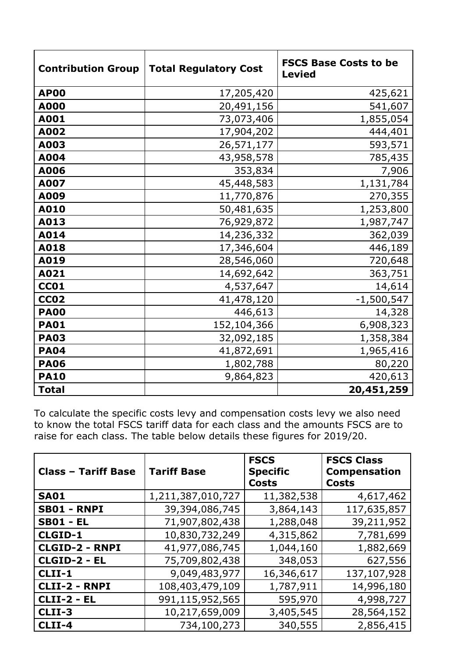| <b>Contribution Group</b> | <b>Total Regulatory Cost</b> | <b>FSCS Base Costs to be</b><br><b>Levied</b> |
|---------------------------|------------------------------|-----------------------------------------------|
| <b>AP00</b>               | 17,205,420                   | 425,621                                       |
| A000                      | 20,491,156                   | 541,607                                       |
| A001                      | 73,073,406                   | 1,855,054                                     |
| A002                      | 17,904,202                   | 444,401                                       |
| A003                      | 26,571,177                   | 593,571                                       |
| A004                      | 43,958,578                   | 785,435                                       |
| A006                      | 353,834                      | 7,906                                         |
| A007                      | 45,448,583                   | 1,131,784                                     |
| A009                      | 11,770,876                   | 270,355                                       |
| A010                      | 50,481,635                   | 1,253,800                                     |
| A013                      | 76,929,872                   | 1,987,747                                     |
| A014                      | 14,236,332                   | 362,039                                       |
| A018                      | 17,346,604                   | 446,189                                       |
| A019                      | 28,546,060                   | 720,648                                       |
| A021                      | 14,692,642                   | 363,751                                       |
| <b>CC01</b>               | 4,537,647                    | 14,614                                        |
| <b>CC02</b>               | 41,478,120                   | $-1,500,547$                                  |
| <b>PA00</b>               | 446,613                      | 14,328                                        |
| <b>PA01</b>               | 152,104,366                  | 6,908,323                                     |
| <b>PA03</b>               | 32,092,185                   | 1,358,384                                     |
| <b>PA04</b>               | 41,872,691                   | 1,965,416                                     |
| <b>PA06</b>               | 1,802,788                    | 80,220                                        |
| <b>PA10</b>               | 9,864,823                    | 420,613                                       |
| <b>Total</b>              |                              | 20,451,259                                    |

To calculate the specific costs levy and compensation costs levy we also need to know the total FSCS tariff data for each class and the amounts FSCS are to raise for each class. The table below details these figures for 2019/20.

| <b>Class - Tariff Base</b> | <b>Tariff Base</b> | <b>FSCS</b><br><b>Specific</b><br><b>Costs</b> | <b>FSCS Class</b><br><b>Compensation</b><br><b>Costs</b> |
|----------------------------|--------------------|------------------------------------------------|----------------------------------------------------------|
| <b>SA01</b>                | 1,211,387,010,727  | 11,382,538                                     | 4,617,462                                                |
| <b>SB01 - RNPI</b>         | 39,394,086,745     | 3,864,143                                      | 117,635,857                                              |
| <b>SB01 - EL</b>           | 71,907,802,438     | 1,288,048                                      | 39,211,952                                               |
| CLGID-1                    | 10,830,732,249     | 4,315,862                                      | 7,781,699                                                |
| <b>CLGID-2 - RNPI</b>      | 41,977,086,745     | 1,044,160                                      | 1,882,669                                                |
| CLGID-2 - EL               | 75,709,802,438     | 348,053                                        | 627,556                                                  |
| CLII-1                     | 9,049,483,977      | 16,346,617                                     | 137,107,928                                              |
| <b>CLII-2 - RNPI</b>       | 108,403,479,109    | 1,787,911                                      | 14,996,180                                               |
| <b>CLII-2 - EL</b>         | 991,115,952,565    | 595,970                                        | 4,998,727                                                |
| CLII-3                     | 10,217,659,009     | 3,405,545                                      | 28,564,152                                               |
| CLII-4                     | 734,100,273        | 340,555                                        | 2,856,415                                                |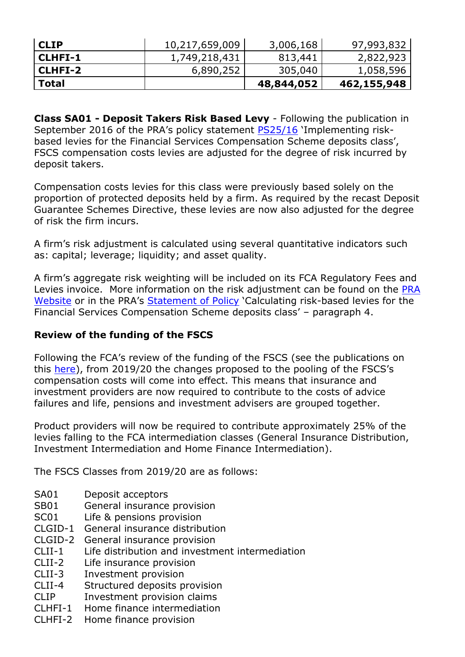| l CLIP    | 10,217,659,009 | 3,006,168  | 97,993,832  |
|-----------|----------------|------------|-------------|
| l CLHFI-1 | 1,749,218,431  | 813,441    | 2,822,923   |
| l CLHFI-2 | 6,890,252      | 305,040    | 1,058,596   |
| l Total   |                | 48,844,052 | 462,155,948 |

**Class SA01 - Deposit Takers Risk Based Levy** - Following the publication in September 2016 of the PRA's policy statement [PS25/16](http://www.bankofengland.co.uk/pra/Pages/publications/ps/2016/ps2516.aspx) 'Implementing riskbased levies for the Financial Services Compensation Scheme deposits class', FSCS compensation costs levies are adjusted for the degree of risk incurred by deposit takers.

Compensation costs levies for this class were previously based solely on the proportion of protected deposits held by a firm. As required by the recast Deposit Guarantee Schemes Directive, these levies are now also adjusted for the degree of risk the firm incurs.

A firm's risk adjustment is calculated using several quantitative indicators such as: capital; leverage; liquidity; and asset quality.

A firm's aggregate risk weighting will be included on its FCA Regulatory Fees and Levies invoice. More information on the risk adjustment can be found on the PRA [Website](http://www.bankofengland.co.uk/pra/Pages/authorisations/fscs/2015updates.aspx) or in the PRA's [Statement of Policy](hhttp://www.bankofengland.co.uk/pra/Pages/publications/sop/2017/calculatingrblupdate.aspx) 'Calculating risk-based levies for the Financial Services Compensation Scheme deposits class' – paragraph 4.

### **Review of the funding of the FSCS**

Following the FCA's review of the funding of the FSCS (see the publications on this [here\)](https://www.fca.org.uk/firms/fees/publications), from 2019/20 the changes proposed to the pooling of the FSCS's compensation costs will come into effect. This means that insurance and investment providers are now required to contribute to the costs of advice failures and life, pensions and investment advisers are grouped together.

Product providers will now be required to contribute approximately 25% of the levies falling to the FCA intermediation classes (General Insurance Distribution, Investment Intermediation and Home Finance Intermediation).

The FSCS Classes from 2019/20 are as follows:

- SA01 Deposit acceptors
- SB01 General insurance provision
- SC01 Life & pensions provision
- CLGID-1 General insurance distribution
- CLGID-2 General insurance provision
- CLII-1 Life distribution and investment intermediation
- CLII-2 Life insurance provision
- CLII-3 Investment provision
- CLII-4 Structured deposits provision
- CLIP Investment provision claims
- CLHFI-1 Home finance intermediation
- CLHFI-2 Home finance provision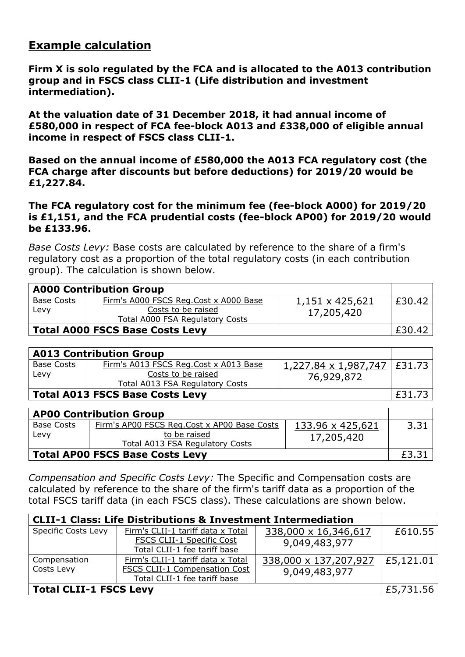# **Example calculation**

**Firm X is solo regulated by the FCA and is allocated to the A013 contribution group and in FSCS class CLII-1 (Life distribution and investment intermediation).**

**At the valuation date of 31 December 2018, it had annual income of £580,000 in respect of FCA fee-block A013 and £338,000 of eligible annual income in respect of FSCS class CLII-1.**

**Based on the annual income of £580,000 the A013 FCA regulatory cost (the FCA charge after discounts but before deductions) for 2019/20 would be £1,227.84.**

**The FCA regulatory cost for the minimum fee (fee-block A000) for 2019/20 is £1,151, and the FCA prudential costs (fee-block AP00) for 2019/20 would be £133.96.**

*Base Costs Levy:* Base costs are calculated by reference to the share of a firm's regulatory cost as a proportion of the total regulatory costs (in each contribution group). The calculation is shown below.

| <b>A000 Contribution Group</b>         |                                                                                                |                               |        |
|----------------------------------------|------------------------------------------------------------------------------------------------|-------------------------------|--------|
| <b>Base Costs</b><br>Levy              | Firm's A000 FSCS Reg.Cost x A000 Base<br>Costs to be raised<br>Total A000 FSA Regulatory Costs | 1,151 x 425,621<br>17,205,420 | £30.42 |
| <b>Total A000 FSCS Base Costs Levy</b> |                                                                                                |                               | £30.42 |

| <b>A013 Contribution Group</b>         |                                                                                                |                                                                          |        |
|----------------------------------------|------------------------------------------------------------------------------------------------|--------------------------------------------------------------------------|--------|
| Base Costs<br>Levy                     | Firm's A013 FSCS Reg.Cost x A013 Base<br>Costs to be raised<br>Total A013 FSA Regulatory Costs | $1,227.84 \times 1,987,747 \mid \text{\textsterling}31.73$<br>76,929,872 |        |
| <b>Total A013 FSCS Base Costs Levy</b> |                                                                                                |                                                                          | £31.73 |

| <b>AP00 Contribution Group</b>         |                                                                                                |                                |       |
|----------------------------------------|------------------------------------------------------------------------------------------------|--------------------------------|-------|
| <b>Base Costs</b><br>Levy              | Firm's AP00 FSCS Reg.Cost x AP00 Base Costs<br>to be raised<br>Total A013 FSA Regulatory Costs | 133.96 x 425,621<br>17,205,420 | 3.31  |
| <b>Total AP00 FSCS Base Costs Levy</b> |                                                                                                |                                | £3.31 |

*Compensation and Specific Costs Levy:* The Specific and Compensation costs are calculated by reference to the share of the firm's tariff data as a proportion of the total FSCS tariff data (in each FSCS class). These calculations are shown below.

| <b>CLII-1 Class: Life Distributions &amp; Investment Intermediation</b> |                                      |                       |            |
|-------------------------------------------------------------------------|--------------------------------------|-----------------------|------------|
| <b>Specific Costs Levy</b>                                              | Firm's CLII-1 tariff data x Total    | 338,000 x 16,346,617  | £610.55    |
|                                                                         | <b>FSCS CLII-1 Specific Cost</b>     | 9,049,483,977         |            |
|                                                                         | Total CLII-1 fee tariff base         |                       |            |
| Compensation                                                            | Firm's CLII-1 tariff data x Total    | 338,000 x 137,207,927 | E5, 121.01 |
| Costs Levy                                                              | <b>FSCS CLII-1 Compensation Cost</b> | 9,049,483,977         |            |
|                                                                         | Total CLII-1 fee tariff base         |                       |            |
| Total CLII-1 FSCS Levy                                                  |                                      |                       | £5,731.56  |